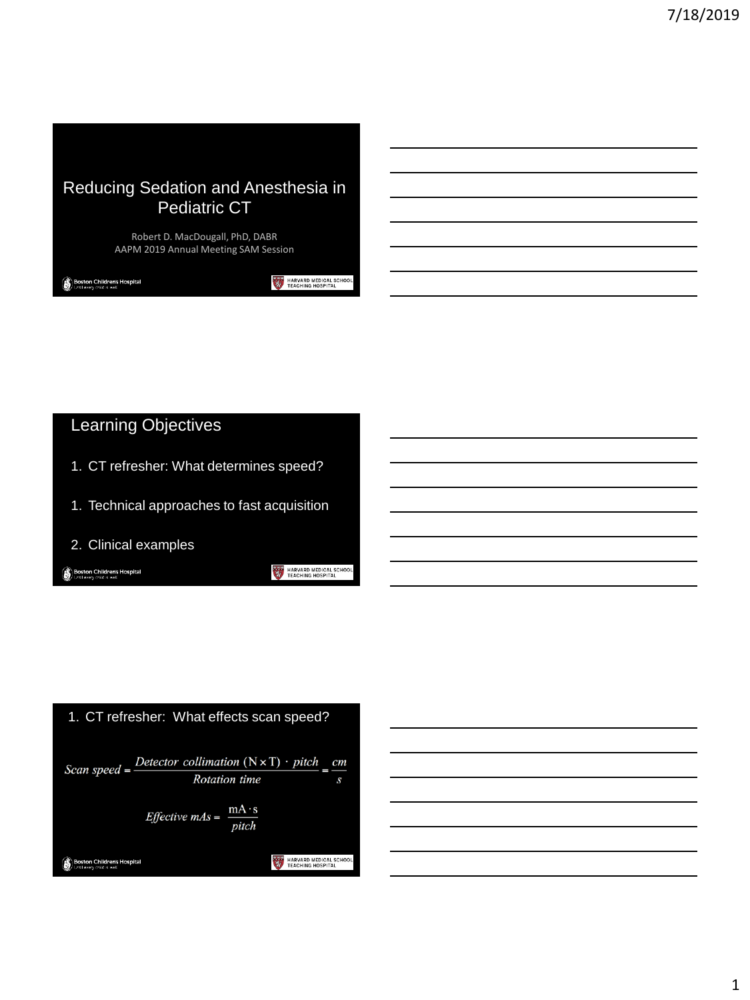

Robert D. MacDougall, PhD, DABR AAPM 2019 Annual Meeting SAM Session

**Boston Children's Hospital** 

HARVARD MEDICAL SCHOOL

## Learning Objectives

- 1. CT refresher: What determines speed?
- 1. Technical approaches to fast acquisition
- 2. Clinical examples

**Boston Children's Hospital** 

HARVARD MEDICAL SCHOOL



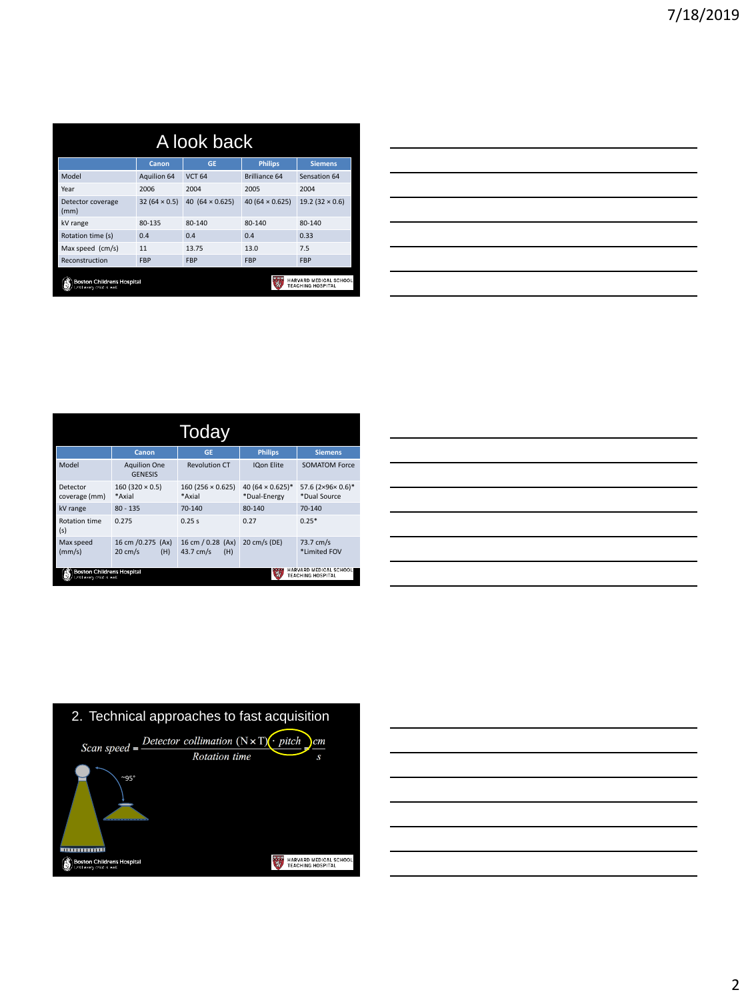| A look back                                                                                     |                     |                        |                        |                       |
|-------------------------------------------------------------------------------------------------|---------------------|------------------------|------------------------|-----------------------|
|                                                                                                 | Canon               | <b>GE</b>              | <b>Philips</b>         | <b>Siemens</b>        |
| Model                                                                                           | <b>Aquilion 64</b>  | <b>VCT 64</b>          | <b>Brilliance 64</b>   | Sensation 64          |
| Year                                                                                            | 2006                | 2004                   | 2005                   | 2004                  |
| Detector coverage<br>(mm)                                                                       | $32(64 \times 0.5)$ | 40 $(64 \times 0.625)$ | 40 $(64 \times 0.625)$ | $19.2(32 \times 0.6)$ |
| kV range                                                                                        | 80-135              | $80 - 140$             | $80 - 140$             | $80 - 140$            |
| Rotation time (s)                                                                               | 0.4                 | 0.4                    | 0.4                    | 0.33                  |
| Max speed (cm/s)                                                                                | 11                  | 13.75                  | 13.0                   | 7.5                   |
| Reconstruction                                                                                  | <b>FBP</b>          | <b>FBP</b>             | <b>FBP</b>             | <b>FBP</b>            |
| HARVARD<br><b>Boston Children's Hospital</b><br><b>TEACHING HOSPITAL</b><br>every child is well |                     |                        | EDICAL SCHOOL          |                       |

| <u> 1989 - Johann Harry Harry Harry Harry Harry Harry Harry Harry Harry Harry Harry Harry Harry Harry Harry Harry</u>  |  |  |
|------------------------------------------------------------------------------------------------------------------------|--|--|
| the contract of the contract of the contract of the contract of the contract of the contract of the contract of        |  |  |
| <u> 1989 - Andrea Andrew Maria (h. 1989).</u>                                                                          |  |  |
| <u> 1989 - Andrea Santa Andrea Andrea Andrea Andrea Andrea Andrea Andrea Andrea Andrea Andrea Andrea Andrea Andr</u>   |  |  |
| <u> 1989 - Johann Barn, amerikan bernama di sebagai bernama di sebagai bernama di sebagai bernama di sebagai bern</u>  |  |  |
| <u> 1989 - Johann Stoff, deutscher Stoffen und der Stoffen und der Stoffen und der Stoffen und der Stoffen und der</u> |  |  |
|                                                                                                                        |  |  |

|                                                                                                                |                                               | Today                                 |                                                     |                                  |
|----------------------------------------------------------------------------------------------------------------|-----------------------------------------------|---------------------------------------|-----------------------------------------------------|----------------------------------|
|                                                                                                                | Canon                                         | GF                                    | <b>Philips</b>                                      | <b>Siemens</b>                   |
| Model                                                                                                          | <b>Aquilion One</b><br><b>GENESIS</b>         | <b>Revolution CT</b>                  | <b>IQon Elite</b>                                   | <b>SOMATOM Force</b>             |
| Detector<br>coverage (mm)                                                                                      | $160(320 \times 0.5)$<br>*Axial               | $160(256 \times 0.625)$<br>*Axial     | 40 (64 $\times$ 0.625) <sup>*</sup><br>*Dual-Energy | 57.6 (2×96×0.6)*<br>*Dual Source |
| kV range                                                                                                       | $80 - 135$                                    | $70-140$                              | $80 - 140$                                          | $70-140$                         |
| <b>Rotation time</b><br>(s)                                                                                    | 0.275                                         | 0.25s                                 | 0.27                                                | $0.25*$                          |
| Max speed<br>(mm/s)                                                                                            | 16 cm /0.275 (Ax)<br>$20 \text{ cm/s}$<br>(H) | 16 cm / 0.28 (Ax)<br>43.7 cm/s<br>(H) | 20 cm/s (DE)                                        | 73.7 cm/s<br>*Limited FOV        |
| HARVARD MEDICAL SCHOOL<br>Boston Children's Hospital<br><b>TEACHING HOSPITAL</b><br>Intil every child is well" |                                               |                                       |                                                     |                                  |

|  | the control of the control of the control of the control of the control of the control of the control of the control of the control of the control of the control of the control of the control of the control of the control |                                   |
|--|-------------------------------------------------------------------------------------------------------------------------------------------------------------------------------------------------------------------------------|-----------------------------------|
|  |                                                                                                                                                                                                                               |                                   |
|  | <u> 1989 - Johann Stoff, deutscher Stoffen und der Stoffen und der Stoffen und der Stoffen und der Stoffen und der</u>                                                                                                        |                                   |
|  | <u> 1989 - Johann Stoff, deutscher Stoff, der Stoff, der Stoff, der Stoff, der Stoff, der Stoff, der Stoff, der S</u>                                                                                                         | <b>Contract Contract Contract</b> |
|  |                                                                                                                                                                                                                               |                                   |
|  |                                                                                                                                                                                                                               |                                   |



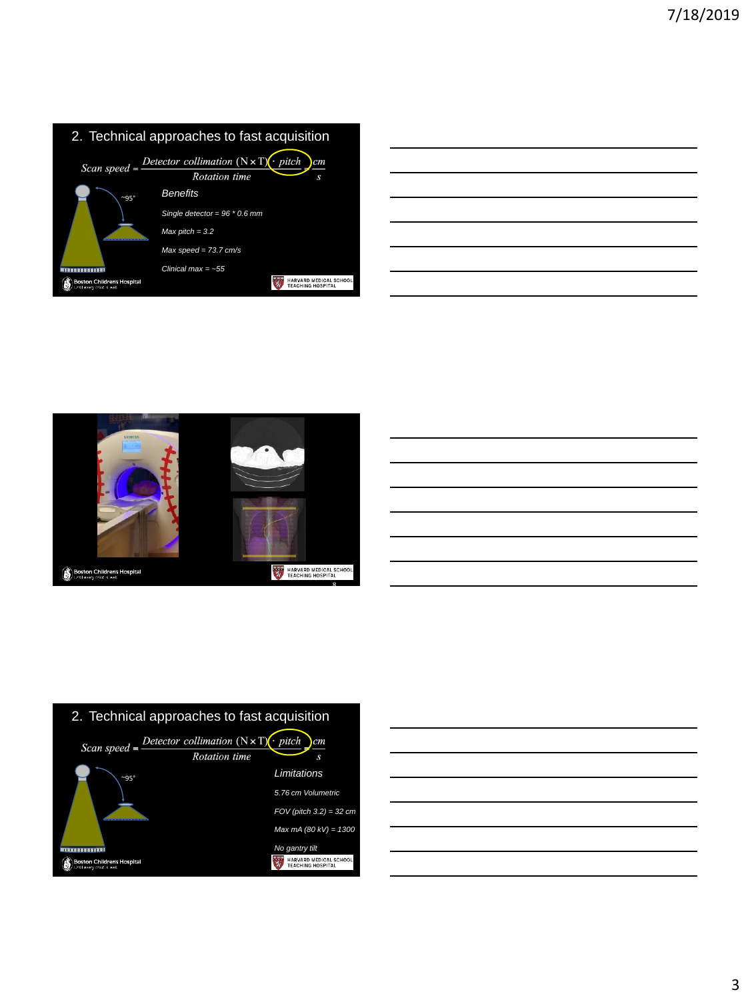| 2. Technical approaches to fast acquisition                  |                                                                                              |                                                  |
|--------------------------------------------------------------|----------------------------------------------------------------------------------------------|--------------------------------------------------|
|                                                              | Scan speed = $\frac{D \text{detector collimation (N} \times T)(. pitch)}{}$<br>Rotation time | cm<br>S                                          |
| $~95^\circ$                                                  | <b>Benefits</b>                                                                              |                                                  |
|                                                              | Single detector = $96 * 0.6$ mm                                                              |                                                  |
|                                                              | Max pitch = $3.2$                                                                            |                                                  |
|                                                              | $Max speed = 73.7 cm/s$                                                                      |                                                  |
|                                                              | Clinical max $=$ ~55                                                                         |                                                  |
| <b>Boston Children's Hospital</b><br>Joulevery child is well |                                                                                              | HARVARD MEDICAL SCHO<br><b>TEACHING HOSPITAL</b> |

|  |  | $\overline{\phantom{a}}$ |
|--|--|--------------------------|
|  |  |                          |
|  |  |                          |







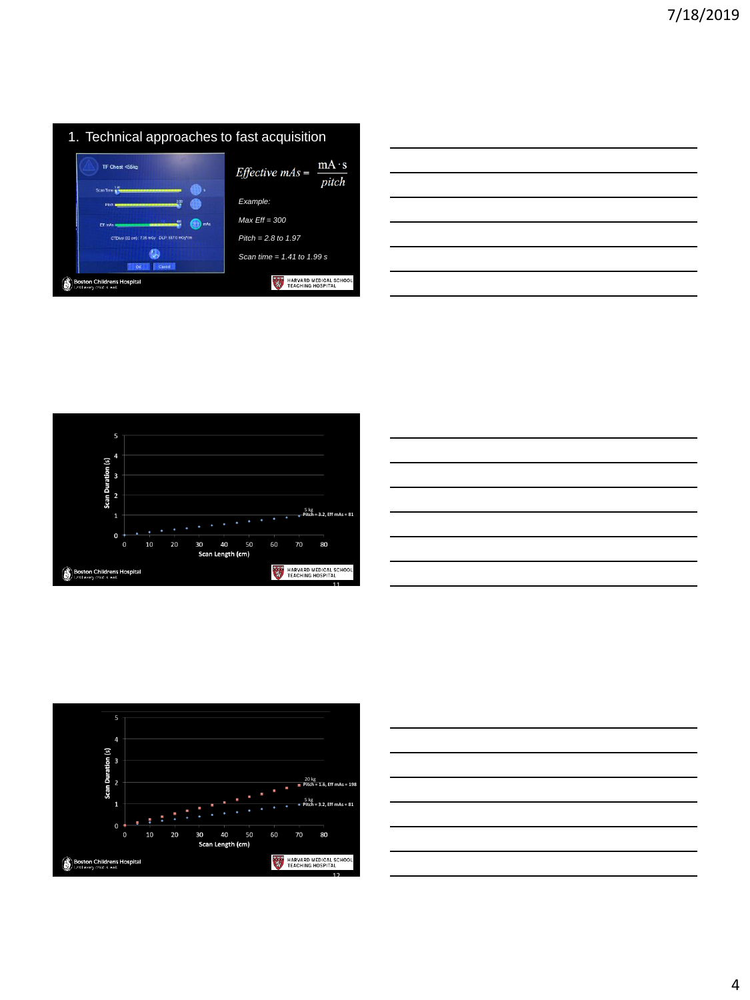









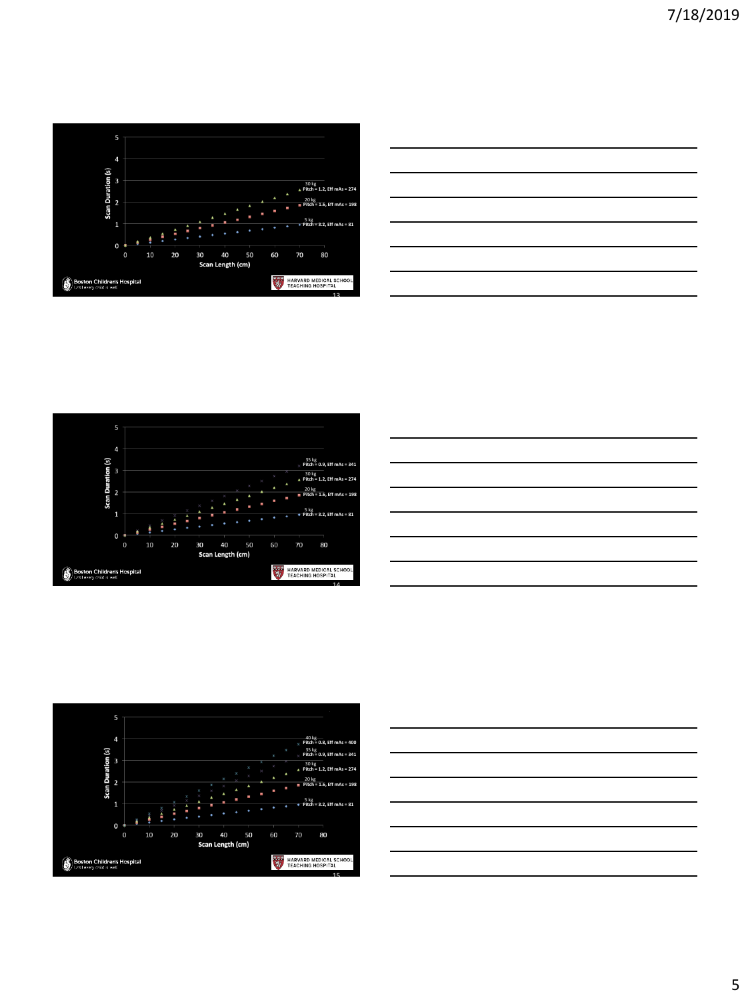











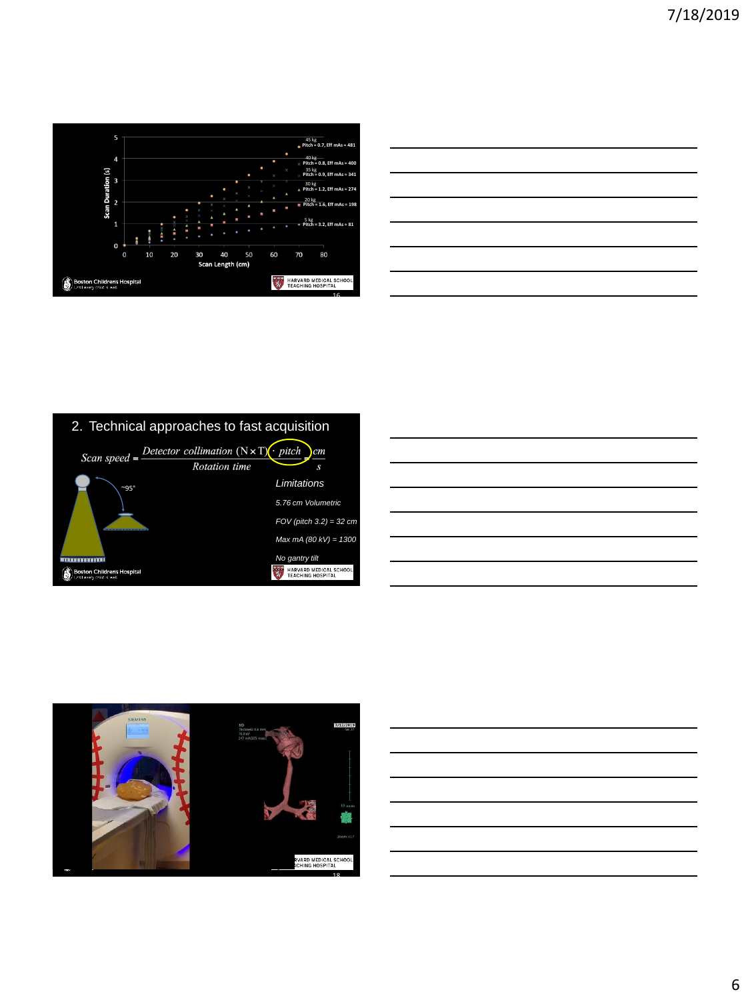

| <u> La Carlo de la Carlo de la Carlo de la Carlo de la Carlo de la Carlo de la Carlo de la Carlo de la Carlo de l</u> |  |  |
|-----------------------------------------------------------------------------------------------------------------------|--|--|
|                                                                                                                       |  |  |
|                                                                                                                       |  |  |
|                                                                                                                       |  |  |
| <u> 1989 - Johann Harry Harry Harry Harry Harry Harry Harry Harry Harry Harry Harry Harry Harry Harry Harry Harry</u> |  |  |
|                                                                                                                       |  |  |
|                                                                                                                       |  |  |
|                                                                                                                       |  |  |







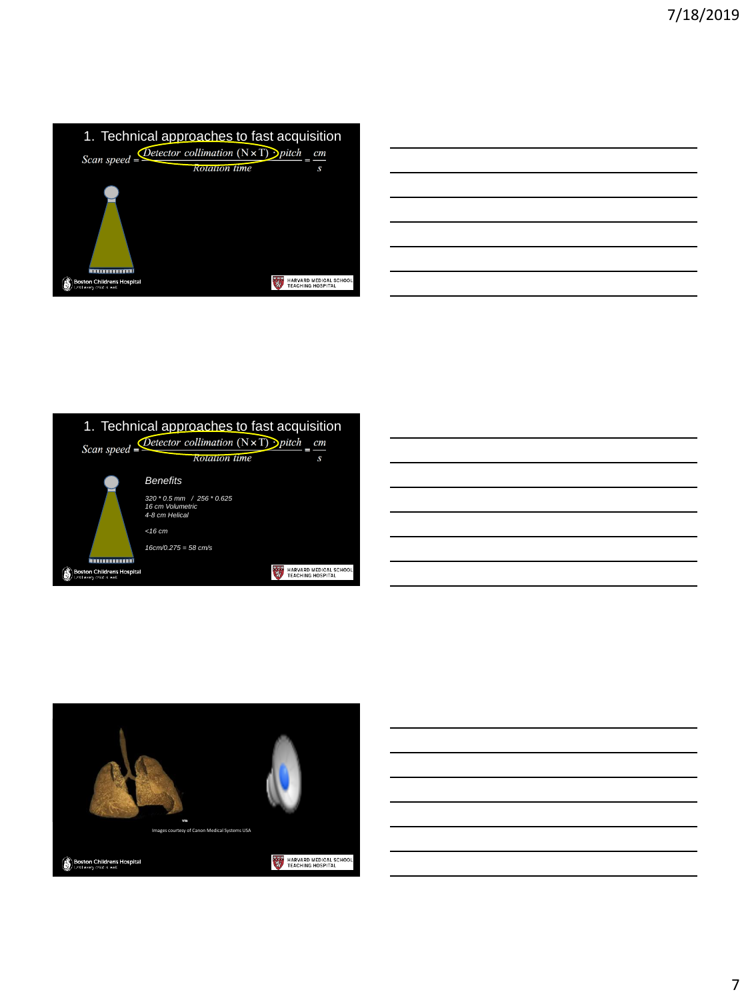





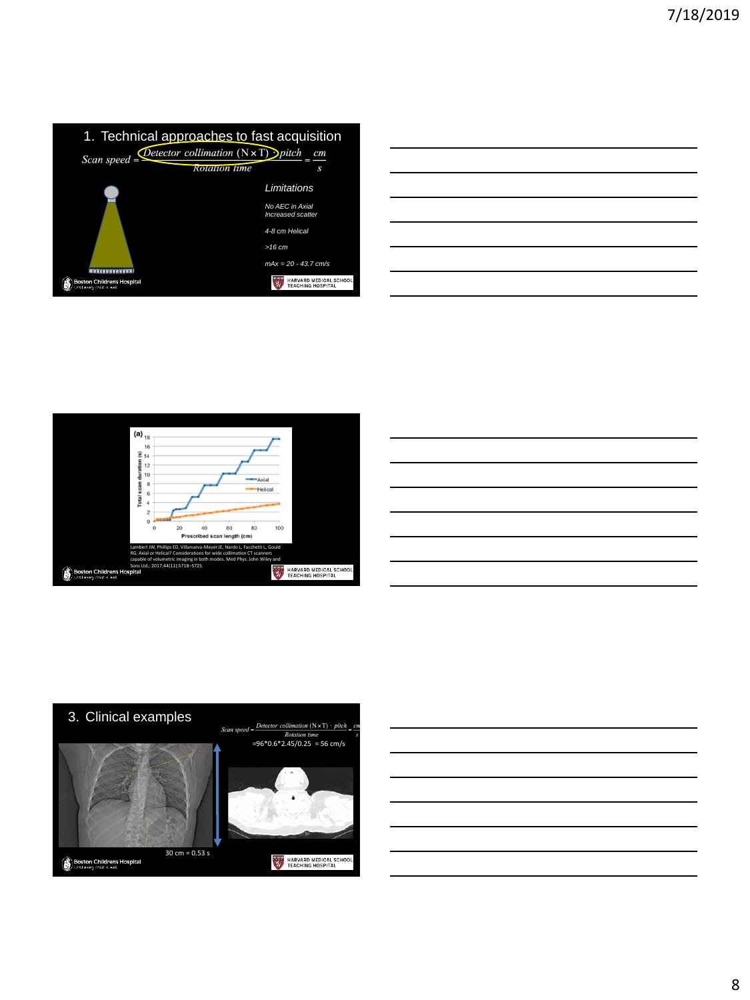

| <u> 1989 - Johann Stoff, deutscher Stoff, der Stoff, der Stoff, der Stoff, der Stoff, der Stoff, der Stoff, der S</u> |  | $\overline{\phantom{a}}$ |  |
|-----------------------------------------------------------------------------------------------------------------------|--|--------------------------|--|
|                                                                                                                       |  |                          |  |
|                                                                                                                       |  |                          |  |
|                                                                                                                       |  |                          |  |
|                                                                                                                       |  | $\overline{\phantom{a}}$ |  |
|                                                                                                                       |  |                          |  |
|                                                                                                                       |  |                          |  |
|                                                                                                                       |  |                          |  |
|                                                                                                                       |  |                          |  |
|                                                                                                                       |  |                          |  |
|                                                                                                                       |  |                          |  |